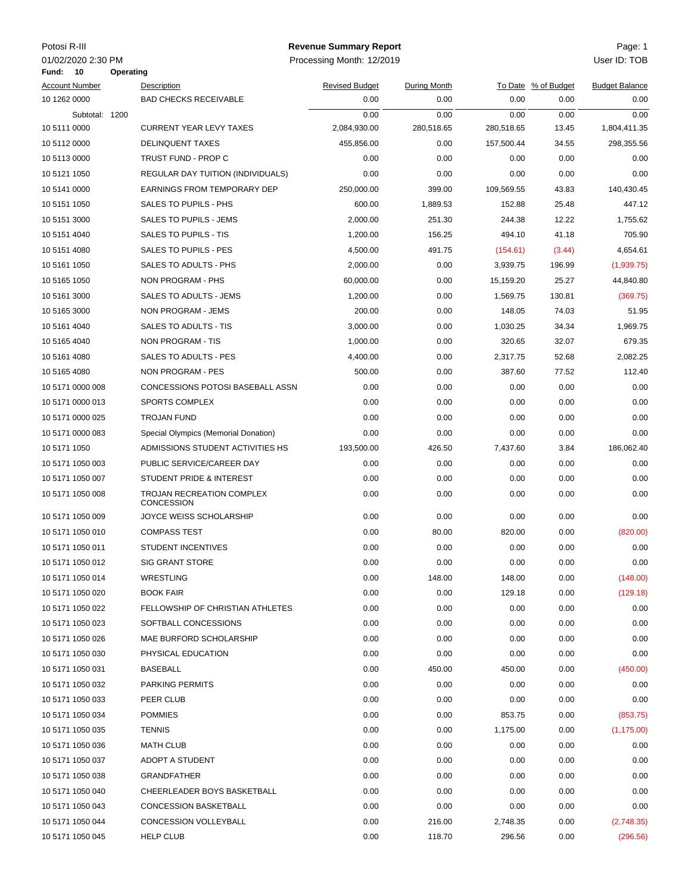|--|

**10 Operating Fund:**

## Potosi R-III Page: 1 **Revenue Summary Report**

01/02/2020 2:30 PM Processing Month: 12/2019 User ID: TOB

| <b>Account Number</b> | Description                                    | <b>Revised Budget</b> | During Month |            | To Date % of Budget | <b>Budget Balance</b> |
|-----------------------|------------------------------------------------|-----------------------|--------------|------------|---------------------|-----------------------|
| 10 1262 0000          | <b>BAD CHECKS RECEIVABLE</b>                   | 0.00                  | 0.00         | 0.00       | 0.00                | 0.00                  |
| Subtotal: 1200        |                                                | 0.00                  | 0.00         | 0.00       | 0.00                | 0.00                  |
| 10 5111 0000          | <b>CURRENT YEAR LEVY TAXES</b>                 | 2,084,930.00          | 280,518.65   | 280,518.65 | 13.45               | 1,804,411.35          |
| 10 5112 0000          | <b>DELINQUENT TAXES</b>                        | 455,856.00            | 0.00         | 157,500.44 | 34.55               | 298,355.56            |
| 10 5113 0000          | TRUST FUND - PROP C                            | 0.00                  | 0.00         | 0.00       | 0.00                | 0.00                  |
| 10 5121 1050          | REGULAR DAY TUITION (INDIVIDUALS)              | 0.00                  | 0.00         | 0.00       | 0.00                | 0.00                  |
| 10 5141 0000          | EARNINGS FROM TEMPORARY DEP                    | 250,000.00            | 399.00       | 109,569.55 | 43.83               | 140,430.45            |
| 10 5151 1050          | SALES TO PUPILS - PHS                          | 600.00                | 1,889.53     | 152.88     | 25.48               | 447.12                |
| 10 5151 3000          | SALES TO PUPILS - JEMS                         | 2,000.00              | 251.30       | 244.38     | 12.22               | 1,755.62              |
| 10 5151 4040          | SALES TO PUPILS - TIS                          | 1,200.00              | 156.25       | 494.10     | 41.18               | 705.90                |
| 10 5151 4080          | SALES TO PUPILS - PES                          | 4,500.00              | 491.75       | (154.61)   | (3.44)              | 4,654.61              |
| 10 5161 1050          | SALES TO ADULTS - PHS                          | 2,000.00              | 0.00         | 3,939.75   | 196.99              | (1,939.75)            |
| 10 5165 1050          | NON PROGRAM - PHS                              | 60,000.00             | 0.00         | 15,159.20  | 25.27               | 44,840.80             |
| 10 5161 3000          | SALES TO ADULTS - JEMS                         | 1,200.00              | 0.00         | 1,569.75   | 130.81              | (369.75)              |
| 10 5165 3000          | NON PROGRAM - JEMS                             | 200.00                | 0.00         | 148.05     | 74.03               | 51.95                 |
| 10 5161 4040          | SALES TO ADULTS - TIS                          | 3,000.00              | 0.00         | 1,030.25   | 34.34               | 1,969.75              |
| 10 5165 4040          | NON PROGRAM - TIS                              | 1,000.00              | 0.00         | 320.65     | 32.07               | 679.35                |
| 10 5161 4080          | SALES TO ADULTS - PES                          | 4,400.00              | 0.00         | 2,317.75   | 52.68               | 2,082.25              |
| 10 5165 4080          | NON PROGRAM - PES                              | 500.00                | 0.00         | 387.60     | 77.52               | 112.40                |
| 10 5171 0000 008      | CONCESSIONS POTOSI BASEBALL ASSN               | 0.00                  | 0.00         | 0.00       | 0.00                | 0.00                  |
| 10 5171 0000 013      | SPORTS COMPLEX                                 | 0.00                  | 0.00         | 0.00       | 0.00                | 0.00                  |
| 10 5171 0000 025      | <b>TROJAN FUND</b>                             | 0.00                  | 0.00         | 0.00       | 0.00                | 0.00                  |
| 10 5171 0000 083      | Special Olympics (Memorial Donation)           | 0.00                  | 0.00         | 0.00       | 0.00                | 0.00                  |
| 10 5171 1050          | ADMISSIONS STUDENT ACTIVITIES HS               | 193,500.00            | 426.50       | 7,437.60   | 3.84                | 186,062.40            |
| 10 5171 1050 003      | PUBLIC SERVICE/CAREER DAY                      | 0.00                  | 0.00         | 0.00       | 0.00                | 0.00                  |
| 10 5171 1050 007      | STUDENT PRIDE & INTEREST                       | 0.00                  | 0.00         | 0.00       | 0.00                | 0.00                  |
| 10 5171 1050 008      | TROJAN RECREATION COMPLEX<br><b>CONCESSION</b> | 0.00                  | 0.00         | 0.00       | 0.00                | 0.00                  |
| 10 5171 1050 009      | JOYCE WEISS SCHOLARSHIP                        | 0.00                  | 0.00         | 0.00       | 0.00                | 0.00                  |
| 10 5171 1050 010      | <b>COMPASS TEST</b>                            | 0.00                  | 80.00        | 820.00     | 0.00                | (820.00)              |
| 10 5171 1050 011      | <b>STUDENT INCENTIVES</b>                      | 0.00                  | 0.00         | 0.00       | 0.00                | 0.00                  |
| 10 5171 1050 012      | <b>SIG GRANT STORE</b>                         | 0.00                  | 0.00         | 0.00       | 0.00                | 0.00                  |
| 10 5171 1050 014      | WRESTLING                                      | 0.00                  | 148.00       | 148.00     | 0.00                | (148.00)              |
| 10 5171 1050 020      | <b>BOOK FAIR</b>                               | 0.00                  | 0.00         | 129.18     | 0.00                | (129.18)              |
| 10 5171 1050 022      | FELLOWSHIP OF CHRISTIAN ATHLETES               | 0.00                  | 0.00         | 0.00       | 0.00                | 0.00                  |
| 10 5171 1050 023      | SOFTBALL CONCESSIONS                           | 0.00                  | 0.00         | 0.00       | 0.00                | 0.00                  |
| 10 5171 1050 026      | MAE BURFORD SCHOLARSHIP                        | 0.00                  | 0.00         | 0.00       | 0.00                | 0.00                  |
| 10 5171 1050 030      | PHYSICAL EDUCATION                             | 0.00                  | 0.00         | 0.00       | 0.00                | 0.00                  |
| 10 5171 1050 031      | BASEBALL                                       | 0.00                  | 450.00       | 450.00     | 0.00                | (450.00)              |
| 10 5171 1050 032      | <b>PARKING PERMITS</b>                         | 0.00                  | 0.00         | 0.00       | 0.00                | 0.00                  |
| 10 5171 1050 033      | PEER CLUB                                      | 0.00                  | 0.00         | 0.00       | 0.00                | 0.00                  |
| 10 5171 1050 034      | <b>POMMIES</b>                                 | 0.00                  | 0.00         | 853.75     | 0.00                | (853.75)              |
| 10 5171 1050 035      | <b>TENNIS</b>                                  | 0.00                  | 0.00         | 1,175.00   | 0.00                | (1, 175.00)           |
| 10 5171 1050 036      | <b>MATH CLUB</b>                               | 0.00                  | 0.00         | 0.00       | 0.00                | 0.00                  |
| 10 5171 1050 037      | ADOPT A STUDENT                                | 0.00                  | 0.00         | 0.00       | 0.00                | 0.00                  |
| 10 5171 1050 038      | GRANDFATHER                                    | 0.00                  | 0.00         | 0.00       | 0.00                | 0.00                  |
| 10 5171 1050 040      | CHEERLEADER BOYS BASKETBALL                    | 0.00                  | 0.00         | 0.00       | 0.00                | 0.00                  |
| 10 5171 1050 043      | <b>CONCESSION BASKETBALL</b>                   | 0.00                  | 0.00         | 0.00       | 0.00                | 0.00                  |
| 10 5171 1050 044      | CONCESSION VOLLEYBALL                          | 0.00                  | 216.00       | 2,748.35   | 0.00                | (2,748.35)            |
| 10 5171 1050 045      | <b>HELP CLUB</b>                               | 0.00                  | 118.70       | 296.56     | 0.00                | (296.56)              |
|                       |                                                |                       |              |            |                     |                       |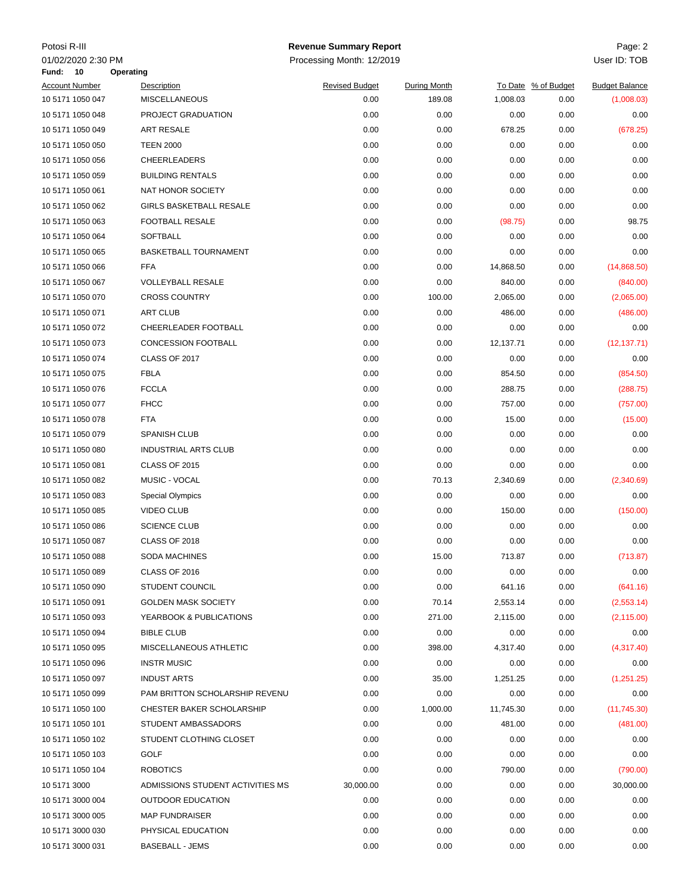| Potosi R-III          |                                                     | <b>Revenue Summary Report</b> |                     |           |                     | Page: 2               |
|-----------------------|-----------------------------------------------------|-------------------------------|---------------------|-----------|---------------------|-----------------------|
| 01/02/2020 2:30 PM    |                                                     | Processing Month: 12/2019     |                     |           |                     | User ID: TOB          |
| Fund:<br>$-10$        | Operating                                           |                               |                     |           |                     |                       |
| <b>Account Number</b> | Description                                         | <b>Revised Budget</b>         | <b>During Month</b> |           | To Date % of Budget | <b>Budget Balance</b> |
| 10 5171 1050 047      | <b>MISCELLANEOUS</b>                                | 0.00                          | 189.08              | 1,008.03  | 0.00                | (1,008.03)            |
| 10 5171 1050 048      | PROJECT GRADUATION                                  | 0.00                          | 0.00                | 0.00      | 0.00                | 0.00                  |
| 10 5171 1050 049      | ART RESALE                                          | 0.00                          | 0.00                | 678.25    | 0.00                | (678.25)              |
| 10 5171 1050 050      | <b>TEEN 2000</b>                                    | 0.00                          | 0.00                | 0.00      | 0.00                | 0.00                  |
| 10 5171 1050 056      | <b>CHEERLEADERS</b>                                 | 0.00                          | 0.00                | 0.00      | 0.00                | 0.00                  |
| 10 5171 1050 059      | <b>BUILDING RENTALS</b>                             | 0.00                          | 0.00                | 0.00      | 0.00                | 0.00                  |
| 10 5171 1050 061      | NAT HONOR SOCIETY                                   | 0.00                          | 0.00                | 0.00      | 0.00                | 0.00                  |
| 10 5171 1050 062      | <b>GIRLS BASKETBALL RESALE</b>                      | 0.00                          | 0.00                | 0.00      | 0.00                | 0.00                  |
| 10 5171 1050 063      | FOOTBALL RESALE                                     | 0.00                          | 0.00                | (98.75)   | 0.00                | 98.75                 |
| 10 5171 1050 064      | SOFTBALL                                            | 0.00                          | 0.00                | 0.00      | 0.00                | 0.00                  |
| 10 5171 1050 065      | <b>BASKETBALL TOURNAMENT</b>                        | 0.00                          | 0.00                | 0.00      | 0.00                | 0.00                  |
| 10 5171 1050 066      | <b>FFA</b>                                          | 0.00                          | 0.00                | 14,868.50 | 0.00                | (14,868.50)           |
| 10 5171 1050 067      | <b>VOLLEYBALL RESALE</b>                            | 0.00                          | 0.00                | 840.00    | 0.00                | (840.00)              |
| 10 5171 1050 070      | <b>CROSS COUNTRY</b>                                | 0.00                          | 100.00              | 2,065.00  | 0.00                | (2,065.00)            |
| 10 5171 1050 071      | <b>ART CLUB</b>                                     | 0.00                          | 0.00                | 486.00    | 0.00                | (486.00)              |
| 10 5171 1050 072      | CHEERLEADER FOOTBALL                                | 0.00                          | 0.00                | 0.00      | 0.00                | 0.00                  |
| 10 5171 1050 073      | <b>CONCESSION FOOTBALL</b>                          | 0.00                          | 0.00                | 12,137.71 | 0.00                | (12, 137.71)          |
| 10 5171 1050 074      | CLASS OF 2017                                       | 0.00                          | 0.00                | 0.00      | 0.00                | 0.00                  |
| 10 5171 1050 075      | <b>FBLA</b>                                         | 0.00                          | 0.00                | 854.50    | 0.00                | (854.50)              |
| 10 5171 1050 076      | <b>FCCLA</b>                                        | 0.00                          | 0.00                | 288.75    | 0.00                | (288.75)              |
| 10 5171 1050 077      | <b>FHCC</b>                                         | 0.00                          | 0.00                | 757.00    | 0.00                | (757.00)              |
| 10 5171 1050 078      | <b>FTA</b>                                          | 0.00                          | 0.00                | 15.00     | 0.00                | (15.00)               |
| 10 5171 1050 079      | SPANISH CLUB                                        | 0.00                          | 0.00                | 0.00      | 0.00                | 0.00                  |
| 10 5171 1050 080      | <b>INDUSTRIAL ARTS CLUB</b>                         | 0.00                          | 0.00                | 0.00      | 0.00                | 0.00                  |
| 10 5171 1050 081      | <b>CLASS OF 2015</b>                                | 0.00                          | 0.00                | 0.00      | 0.00                | 0.00                  |
| 10 5171 1050 082      | MUSIC - VOCAL                                       | 0.00                          | 70.13               | 2,340.69  | 0.00                | (2,340.69)            |
| 10 5171 1050 083      | <b>Special Olympics</b>                             | 0.00                          | 0.00                | 0.00      | 0.00                | 0.00                  |
| 10 5171 1050 085      | <b>VIDEO CLUB</b>                                   | 0.00                          | 0.00                | 150.00    | 0.00                | (150.00)              |
| 10 5171 1050 086      | <b>SCIENCE CLUB</b>                                 | 0.00                          | 0.00                | 0.00      | 0.00                | 0.00                  |
| 10 5171 1050 087      | CLASS OF 2018                                       | 0.00                          | 0.00                | 0.00      | 0.00                | 0.00                  |
| 10 5171 1050 088      | <b>SODA MACHINES</b>                                | 0.00                          | 15.00               | 713.87    | 0.00                | (713.87)              |
| 10 5171 1050 089      | CLASS OF 2016                                       | 0.00                          | 0.00                | 0.00      | 0.00                | 0.00                  |
| 10 5171 1050 090      | <b>STUDENT COUNCIL</b>                              | 0.00                          | 0.00                | 641.16    | 0.00                | (641.16)              |
| 10 5171 1050 091      | <b>GOLDEN MASK SOCIETY</b>                          | 0.00                          | 70.14               | 2,553.14  | 0.00                | (2,553.14)            |
| 10 5171 1050 093      | YEARBOOK & PUBLICATIONS                             | 0.00                          | 271.00              | 2,115.00  | 0.00                | (2, 115.00)           |
| 10 5171 1050 094      | <b>BIBLE CLUB</b>                                   | 0.00                          | 0.00                | 0.00      | 0.00                | 0.00                  |
| 10 5171 1050 095      | MISCELLANEOUS ATHLETIC                              | 0.00                          | 398.00              | 4,317.40  | 0.00                | (4,317.40)            |
| 10 5171 1050 096      | <b>INSTR MUSIC</b>                                  | 0.00                          | 0.00                | 0.00      | 0.00                | 0.00                  |
| 10 5171 1050 097      | <b>INDUST ARTS</b>                                  | 0.00                          | 35.00               | 1,251.25  | 0.00                | (1,251.25)            |
| 10 5171 1050 099      | PAM BRITTON SCHOLARSHIP REVENU                      | 0.00                          | 0.00                | 0.00      | 0.00                | 0.00                  |
| 10 5171 1050 100      | <b>CHESTER BAKER SCHOLARSHIP</b>                    | 0.00                          | 1,000.00            | 11,745.30 | 0.00                | (11,745.30)           |
| 10 5171 1050 101      | STUDENT AMBASSADORS                                 | 0.00                          | 0.00                | 481.00    | 0.00                | (481.00)              |
| 10 5171 1050 102      | STUDENT CLOTHING CLOSET                             | 0.00                          | 0.00                | 0.00      | 0.00                | 0.00                  |
| 10 5171 1050 103      | GOLF                                                | 0.00                          | 0.00                | 0.00      | 0.00                | 0.00                  |
|                       |                                                     |                               |                     |           |                     |                       |
| 10 5171 1050 104      | <b>ROBOTICS</b><br>ADMISSIONS STUDENT ACTIVITIES MS | 0.00                          | 0.00                | 790.00    | 0.00                | (790.00)              |
| 10 5171 3000          |                                                     | 30,000.00                     | 0.00                | 0.00      | 0.00                | 30,000.00             |
| 10 5171 3000 004      | <b>OUTDOOR EDUCATION</b>                            | 0.00                          | 0.00                | 0.00      | 0.00                | 0.00                  |
| 10 5171 3000 005      | <b>MAP FUNDRAISER</b>                               | 0.00                          | 0.00                | 0.00      | 0.00                | 0.00                  |
| 10 5171 3000 030      | PHYSICAL EDUCATION                                  | 0.00                          | 0.00                | 0.00      | 0.00                | 0.00                  |
| 10 5171 3000 031      | <b>BASEBALL - JEMS</b>                              | 0.00                          | 0.00                | 0.00      | 0.00                | 0.00                  |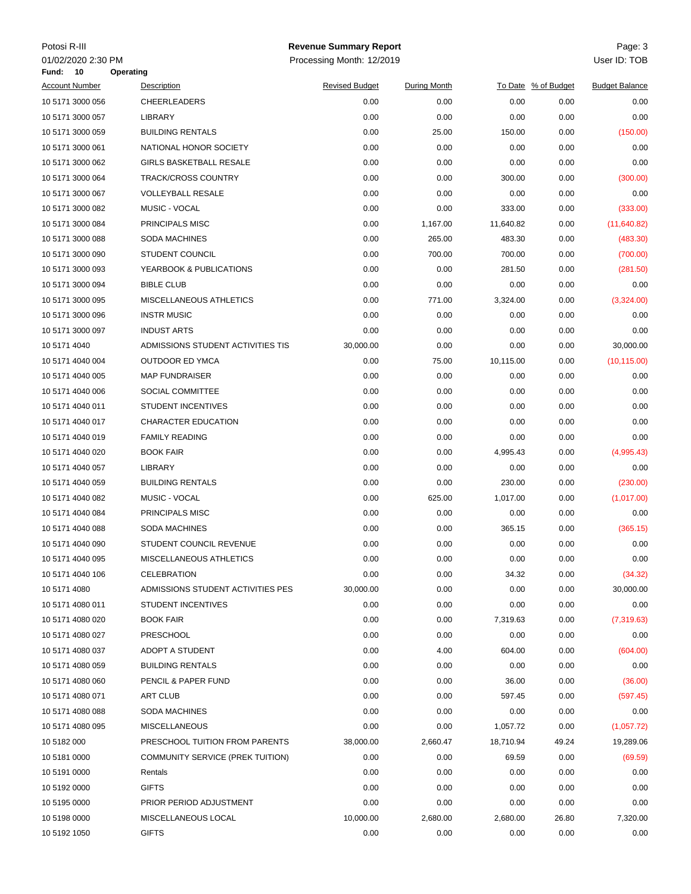| Potosi R-III          |                                                | <b>Revenue Summary Report</b> |              |           |                     | Page: 3               |
|-----------------------|------------------------------------------------|-------------------------------|--------------|-----------|---------------------|-----------------------|
| 01/02/2020 2:30 PM    |                                                | Processing Month: 12/2019     |              |           |                     | User ID: TOB          |
| 10<br>Fund:           | Operating                                      |                               |              |           |                     |                       |
| <b>Account Number</b> | Description                                    | <b>Revised Budget</b>         | During Month |           | To Date % of Budget | <b>Budget Balance</b> |
| 10 5171 3000 056      | <b>CHEERLEADERS</b>                            | 0.00                          | 0.00         | 0.00      | 0.00                | 0.00                  |
| 10 5171 3000 057      | LIBRARY                                        | 0.00                          | 0.00         | 0.00      | 0.00                | 0.00                  |
| 10 5171 3000 059      | <b>BUILDING RENTALS</b>                        | 0.00                          | 25.00        | 150.00    | 0.00                | (150.00)              |
| 10 5171 3000 061      | NATIONAL HONOR SOCIETY                         | 0.00                          | 0.00         | 0.00      | 0.00                | 0.00                  |
| 10 5171 3000 062      | <b>GIRLS BASKETBALL RESALE</b>                 | 0.00                          | 0.00         | 0.00      | 0.00                | 0.00                  |
| 10 5171 3000 064      | <b>TRACK/CROSS COUNTRY</b>                     | 0.00                          | 0.00         | 300.00    | 0.00                | (300.00)              |
| 10 5171 3000 067      | <b>VOLLEYBALL RESALE</b>                       | 0.00                          | 0.00         | 0.00      | 0.00                | 0.00                  |
| 10 5171 3000 082      | MUSIC - VOCAL                                  | 0.00                          | 0.00         | 333.00    | 0.00                | (333.00)              |
| 10 5171 3000 084      | PRINCIPALS MISC                                | 0.00                          | 1,167.00     | 11,640.82 | 0.00                | (11, 640.82)          |
| 10 5171 3000 088      | SODA MACHINES                                  | 0.00                          | 265.00       | 483.30    | 0.00                | (483.30)              |
| 10 5171 3000 090      | <b>STUDENT COUNCIL</b>                         | 0.00                          | 700.00       | 700.00    | 0.00                | (700.00)              |
| 10 5171 3000 093      | YEARBOOK & PUBLICATIONS                        | 0.00                          | 0.00         | 281.50    | 0.00                | (281.50)              |
| 10 5171 3000 094      | <b>BIBLE CLUB</b>                              | 0.00                          | 0.00         | 0.00      | 0.00                | 0.00                  |
| 10 5171 3000 095      | MISCELLANEOUS ATHLETICS                        | 0.00                          | 771.00       | 3,324.00  | 0.00                | (3,324.00)            |
| 10 5171 3000 096      | <b>INSTR MUSIC</b>                             | 0.00                          | 0.00         | 0.00      | 0.00                | 0.00                  |
| 10 5171 3000 097      | <b>INDUST ARTS</b>                             | 0.00                          | 0.00         | 0.00      | 0.00                | 0.00                  |
| 10 5171 4040          | ADMISSIONS STUDENT ACTIVITIES TIS              | 30,000.00                     | 0.00         | 0.00      | 0.00                | 30,000.00             |
| 10 5171 4040 004      | <b>OUTDOOR ED YMCA</b>                         | 0.00                          | 75.00        | 10,115.00 | 0.00                | (10, 115.00)          |
| 10 5171 4040 005      | <b>MAP FUNDRAISER</b>                          | 0.00                          | 0.00         | 0.00      | 0.00                | 0.00                  |
| 10 5171 4040 006      | SOCIAL COMMITTEE                               | 0.00                          | 0.00         | 0.00      | 0.00                | 0.00                  |
| 10 5171 4040 011      | STUDENT INCENTIVES                             | 0.00                          | 0.00         | 0.00      | 0.00                | 0.00                  |
| 10 5171 4040 017      | CHARACTER EDUCATION                            | 0.00                          | 0.00         | 0.00      | 0.00                | 0.00                  |
| 10 5171 4040 019      | <b>FAMILY READING</b>                          | 0.00                          | 0.00         | 0.00      | 0.00                | 0.00                  |
| 10 5171 4040 020      | <b>BOOK FAIR</b>                               | 0.00                          | 0.00         | 4,995.43  | 0.00                | (4,995.43)            |
| 10 5171 4040 057      | LIBRARY                                        | 0.00                          | 0.00         | 0.00      | 0.00                | 0.00                  |
| 10 5171 4040 059      | <b>BUILDING RENTALS</b>                        | 0.00                          | 0.00         | 230.00    | 0.00                | (230.00)              |
| 10 5171 4040 082      | MUSIC - VOCAL                                  | 0.00                          | 625.00       | 1,017.00  | 0.00                | (1,017.00)            |
| 10 5171 4040 084      | PRINCIPALS MISC                                | 0.00                          | 0.00         | 0.00      | 0.00                | 0.00                  |
| 10 5171 4040 088      | SODA MACHINES                                  | 0.00                          | 0.00         | 365.15    | 0.00                | (365.15)              |
| 10 5171 4040 090      | STUDENT COUNCIL REVENUE                        | 0.00                          | 0.00         | 0.00      | 0.00                | 0.00                  |
| 10 5171 4040 095      | MISCELLANEOUS ATHLETICS                        | 0.00                          | 0.00         | 0.00      | 0.00                | 0.00                  |
| 10 5171 4040 106      | <b>CELEBRATION</b>                             | 0.00                          | 0.00         | 34.32     | 0.00                | (34.32)               |
| 10 5171 4080          | ADMISSIONS STUDENT ACTIVITIES PES              | 30,000.00                     | 0.00         | 0.00      | 0.00                | 30,000.00             |
| 10 5171 4080 011      | <b>STUDENT INCENTIVES</b>                      | 0.00                          | 0.00         | 0.00      | 0.00                | 0.00                  |
| 10 5171 4080 020      | <b>BOOK FAIR</b>                               | 0.00                          | 0.00         | 7,319.63  | 0.00                | (7,319.63)            |
| 10 5171 4080 027      | <b>PRESCHOOL</b>                               | 0.00                          | 0.00         | 0.00      | 0.00                | 0.00                  |
| 10 5171 4080 037      | ADOPT A STUDENT                                | 0.00                          | 4.00         | 604.00    | 0.00                | (604.00)              |
|                       |                                                | 0.00                          | 0.00         | 0.00      |                     |                       |
| 10 5171 4080 059      | <b>BUILDING RENTALS</b><br>PENCIL & PAPER FUND |                               |              |           | 0.00                | 0.00                  |
| 10 5171 4080 060      |                                                | 0.00                          | 0.00         | 36.00     | 0.00                | (36.00)               |
| 10 5171 4080 071      | <b>ART CLUB</b>                                | 0.00                          | 0.00         | 597.45    | 0.00                | (597.45)              |
| 10 5171 4080 088      | SODA MACHINES                                  | 0.00                          | 0.00         | 0.00      | 0.00                | 0.00                  |
| 10 5171 4080 095      | <b>MISCELLANEOUS</b>                           | 0.00                          | 0.00         | 1,057.72  | 0.00                | (1,057.72)            |
| 10 5182 000           | PRESCHOOL TUITION FROM PARENTS                 | 38,000.00                     | 2,660.47     | 18,710.94 | 49.24               | 19,289.06             |
| 10 5181 0000          | COMMUNITY SERVICE (PREK TUITION)               | 0.00                          | 0.00         | 69.59     | 0.00                | (69.59)               |
| 10 5191 0000          | Rentals                                        | 0.00                          | 0.00         | 0.00      | 0.00                | 0.00                  |
| 10 5192 0000          | <b>GIFTS</b>                                   | 0.00                          | 0.00         | 0.00      | 0.00                | 0.00                  |
| 10 5195 0000          | PRIOR PERIOD ADJUSTMENT                        | 0.00                          | 0.00         | 0.00      | 0.00                | 0.00                  |
| 10 5198 0000          | MISCELLANEOUS LOCAL                            | 10,000.00                     | 2,680.00     | 2,680.00  | 26.80               | 7,320.00              |
| 10 5192 1050          | <b>GIFTS</b>                                   | 0.00                          | 0.00         | 0.00      | 0.00                | 0.00                  |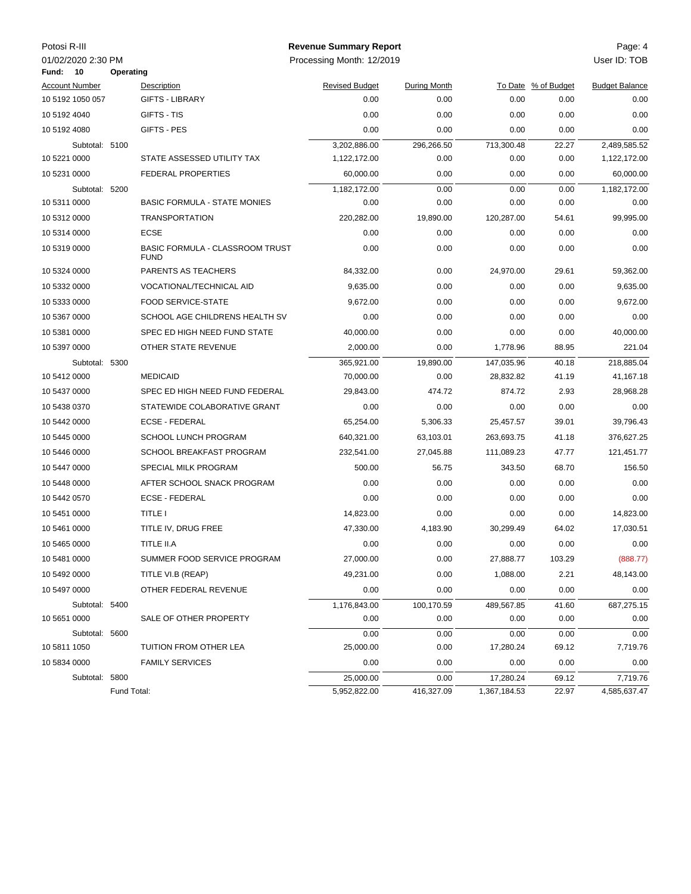| Potosi R-III |                          |             |                                                       | <b>Revenue Summary Report</b> |                     |              |                     | Page: 4               |
|--------------|--------------------------|-------------|-------------------------------------------------------|-------------------------------|---------------------|--------------|---------------------|-----------------------|
| Fund:        | 01/02/2020 2:30 PM<br>10 | Operating   |                                                       | Processing Month: 12/2019     |                     |              |                     | User ID: TOB          |
|              | <b>Account Number</b>    |             | Description                                           | <b>Revised Budget</b>         | <b>During Month</b> |              | To Date % of Budget | <b>Budget Balance</b> |
|              | 10 5192 1050 057         |             | <b>GIFTS - LIBRARY</b>                                | 0.00                          | 0.00                | 0.00         | 0.00                | 0.00                  |
| 10 5192 4040 |                          |             | GIFTS - TIS                                           | 0.00                          | 0.00                | 0.00         | 0.00                | 0.00                  |
| 10 5192 4080 |                          |             | GIFTS - PES                                           | 0.00                          | 0.00                | 0.00         | 0.00                | 0.00                  |
|              | Subtotal: 5100           |             |                                                       | 3,202,886.00                  | 296,266.50          | 713,300.48   | 22.27               | 2,489,585.52          |
| 10 5221 0000 |                          |             | STATE ASSESSED UTILITY TAX                            | 1,122,172.00                  | 0.00                | 0.00         | 0.00                | 1,122,172.00          |
| 10 5231 0000 |                          |             | <b>FEDERAL PROPERTIES</b>                             | 60,000.00                     | 0.00                | 0.00         | 0.00                | 60,000.00             |
|              | Subtotal: 5200           |             |                                                       | 1,182,172.00                  | 0.00                | 0.00         | 0.00                | 1,182,172.00          |
| 10 5311 0000 |                          |             | <b>BASIC FORMULA - STATE MONIES</b>                   | 0.00                          | 0.00                | 0.00         | 0.00                | 0.00                  |
| 10 5312 0000 |                          |             | <b>TRANSPORTATION</b>                                 | 220,282.00                    | 19,890.00           | 120,287.00   | 54.61               | 99,995.00             |
| 10 5314 0000 |                          |             | <b>ECSE</b>                                           | 0.00                          | 0.00                | 0.00         | 0.00                | 0.00                  |
| 10 5319 0000 |                          |             | <b>BASIC FORMULA - CLASSROOM TRUST</b><br><b>FUND</b> | 0.00                          | 0.00                | 0.00         | 0.00                | 0.00                  |
| 10 5324 0000 |                          |             | PARENTS AS TEACHERS                                   | 84,332.00                     | 0.00                | 24,970.00    | 29.61               | 59,362.00             |
| 10 5332 0000 |                          |             | VOCATIONAL/TECHNICAL AID                              | 9,635.00                      | 0.00                | 0.00         | 0.00                | 9,635.00              |
| 10 5333 0000 |                          |             | <b>FOOD SERVICE-STATE</b>                             | 9,672.00                      | 0.00                | 0.00         | 0.00                | 9,672.00              |
| 10 5367 0000 |                          |             | SCHOOL AGE CHILDRENS HEALTH SV                        | 0.00                          | 0.00                | 0.00         | 0.00                | 0.00                  |
| 10 5381 0000 |                          |             | SPEC ED HIGH NEED FUND STATE                          | 40,000.00                     | 0.00                | 0.00         | 0.00                | 40,000.00             |
| 10 5397 0000 |                          |             | OTHER STATE REVENUE                                   | 2,000.00                      | 0.00                | 1,778.96     | 88.95               | 221.04                |
|              | Subtotal: 5300           |             |                                                       | 365,921.00                    | 19,890.00           | 147,035.96   | 40.18               | 218,885.04            |
| 10 5412 0000 |                          |             | <b>MEDICAID</b>                                       | 70,000.00                     | 0.00                | 28,832.82    | 41.19               | 41,167.18             |
| 10 5437 0000 |                          |             | SPEC ED HIGH NEED FUND FEDERAL                        | 29,843.00                     | 474.72              | 874.72       | 2.93                | 28,968.28             |
| 10 5438 0370 |                          |             | STATEWIDE COLABORATIVE GRANT                          | 0.00                          | 0.00                | 0.00         | 0.00                | 0.00                  |
| 10 5442 0000 |                          |             | <b>ECSE - FEDERAL</b>                                 | 65,254.00                     | 5,306.33            | 25,457.57    | 39.01               | 39,796.43             |
| 10 5445 0000 |                          |             | SCHOOL LUNCH PROGRAM                                  | 640,321.00                    | 63,103.01           | 263,693.75   | 41.18               | 376,627.25            |
| 10 5446 0000 |                          |             | SCHOOL BREAKFAST PROGRAM                              | 232,541.00                    | 27,045.88           | 111,089.23   | 47.77               | 121,451.77            |
| 10 5447 0000 |                          |             | SPECIAL MILK PROGRAM                                  | 500.00                        | 56.75               | 343.50       | 68.70               | 156.50                |
| 10 5448 0000 |                          |             | AFTER SCHOOL SNACK PROGRAM                            | 0.00                          | 0.00                | 0.00         | 0.00                | 0.00                  |
| 10 5442 0570 |                          |             | <b>ECSE - FEDERAL</b>                                 | 0.00                          | 0.00                | 0.00         | 0.00                | 0.00                  |
| 10 5451 0000 |                          |             | <b>TITLE I</b>                                        | 14,823.00                     | 0.00                | 0.00         | 0.00                | 14,823.00             |
| 10 5461 0000 |                          |             | TITLE IV, DRUG FREE                                   | 47,330.00                     | 4,183.90            | 30,299.49    | 64.02               | 17,030.51             |
| 10 5465 0000 |                          |             | TITLE II.A                                            | 0.00                          | 0.00                | 0.00         | 0.00                | 0.00                  |
| 10 5481 0000 |                          |             | SUMMER FOOD SERVICE PROGRAM                           | 27,000.00                     | 0.00                | 27,888.77    | 103.29              | (888.77)              |
| 10 5492 0000 |                          |             | TITLE VI.B (REAP)                                     | 49,231.00                     | 0.00                | 1,088.00     | 2.21                | 48,143.00             |
| 10 5497 0000 |                          |             | OTHER FEDERAL REVENUE                                 | 0.00                          | 0.00                | 0.00         | 0.00                | 0.00                  |
|              | Subtotal: 5400           |             |                                                       | 1,176,843.00                  | 100,170.59          | 489,567.85   | 41.60               | 687,275.15            |
| 10 5651 0000 |                          |             | SALE OF OTHER PROPERTY                                | 0.00                          | 0.00                | 0.00         | 0.00                | 0.00                  |
|              | Subtotal: 5600           |             |                                                       | 0.00                          | 0.00                | 0.00         | 0.00                | 0.00                  |
| 10 5811 1050 |                          |             | TUITION FROM OTHER LEA                                | 25,000.00                     | 0.00                | 17,280.24    | 69.12               | 7,719.76              |
| 10 5834 0000 |                          |             | <b>FAMILY SERVICES</b>                                | 0.00                          | 0.00                | 0.00         | 0.00                | 0.00                  |
|              | Subtotal: 5800           |             |                                                       | 25,000.00                     | 0.00                | 17,280.24    | 69.12               | 7,719.76              |
|              |                          | Fund Total: |                                                       | 5,952,822.00                  | 416,327.09          | 1,367,184.53 | 22.97               | 4,585,637.47          |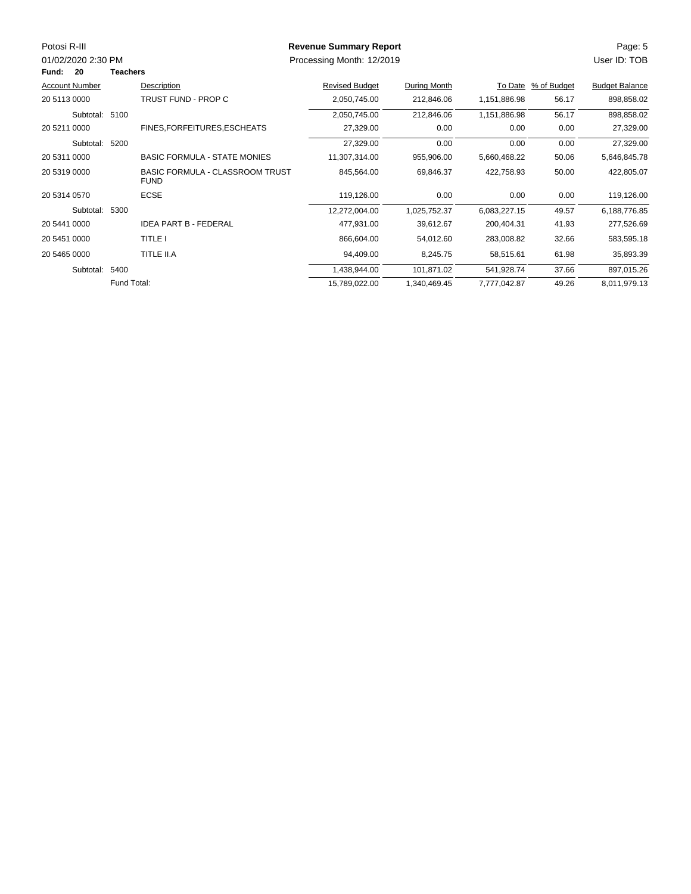| Potosi R-III          |                 |                                                       | <b>Revenue Summary Report</b> |              |              |             | Page: 5               |
|-----------------------|-----------------|-------------------------------------------------------|-------------------------------|--------------|--------------|-------------|-----------------------|
| 01/02/2020 2:30 PM    |                 |                                                       | Processing Month: 12/2019     |              |              |             | User ID: TOB          |
| 20<br>Fund:           | <b>Teachers</b> |                                                       |                               |              |              |             |                       |
| <b>Account Number</b> |                 | Description                                           | <b>Revised Budget</b>         | During Month | To Date      | % of Budget | <b>Budget Balance</b> |
| 20 5113 0000          |                 | TRUST FUND - PROP C                                   | 2,050,745.00                  | 212,846.06   | 1,151,886.98 | 56.17       | 898,858.02            |
| Subtotal: 5100        |                 |                                                       | 2,050,745.00                  | 212,846.06   | 1,151,886.98 | 56.17       | 898,858.02            |
| 20 5211 0000          |                 | FINES, FOR FEITURES, ESCHEATS                         | 27,329.00                     | 0.00         | 0.00         | 0.00        | 27,329.00             |
| Subtotal: 5200        |                 |                                                       | 27,329.00                     | 0.00         | 0.00         | 0.00        | 27,329.00             |
| 20 5311 0000          |                 | <b>BASIC FORMULA - STATE MONIES</b>                   | 11,307,314.00                 | 955,906.00   | 5,660,468.22 | 50.06       | 5,646,845.78          |
| 20 5319 0000          |                 | <b>BASIC FORMULA - CLASSROOM TRUST</b><br><b>FUND</b> | 845,564.00                    | 69,846.37    | 422,758.93   | 50.00       | 422,805.07            |
| 20 5314 0570          |                 | <b>ECSE</b>                                           | 119,126.00                    | 0.00         | 0.00         | 0.00        | 119,126.00            |
| Subtotal: 5300        |                 |                                                       | 12,272,004.00                 | 1,025,752.37 | 6,083,227.15 | 49.57       | 6,188,776.85          |
| 20 5441 0000          |                 | <b>IDEA PART B - FEDERAL</b>                          | 477,931.00                    | 39,612.67    | 200,404.31   | 41.93       | 277,526.69            |
| 20 5451 0000          |                 | <b>TITLE I</b>                                        | 866,604.00                    | 54,012.60    | 283,008.82   | 32.66       | 583,595.18            |
| 20 5465 0000          |                 | TITLE II.A                                            | 94,409.00                     | 8,245.75     | 58,515.61    | 61.98       | 35,893.39             |
| Subtotal: 5400        |                 |                                                       | 1,438,944.00                  | 101,871.02   | 541,928.74   | 37.66       | 897,015.26            |
|                       | Fund Total:     |                                                       | 15,789,022.00                 | 1,340,469.45 | 7,777,042.87 | 49.26       | 8,011,979.13          |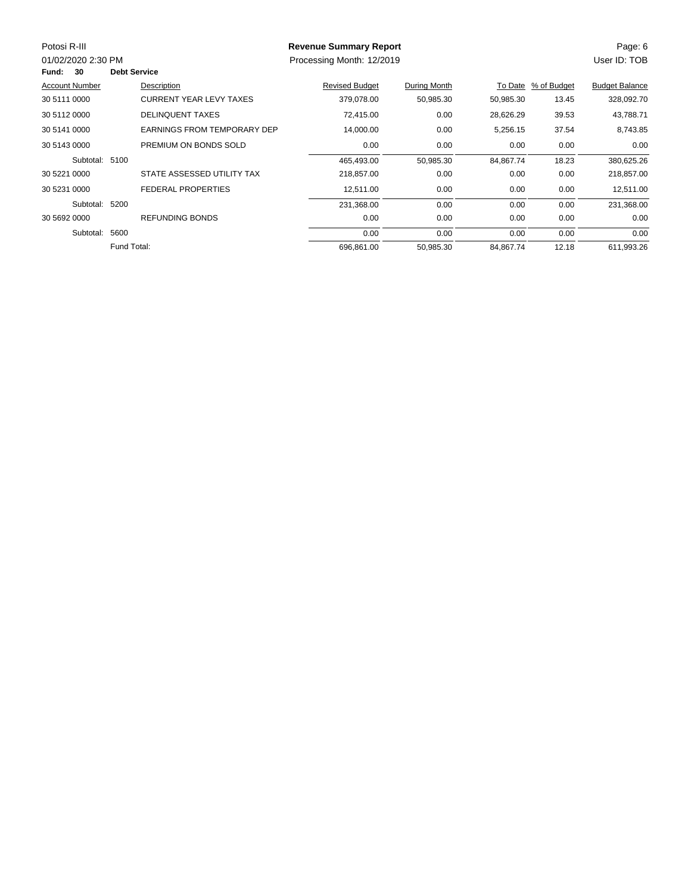| Potosi R-III          |                     |                                    | <b>Revenue Summary Report</b> |              |           |             | Page: 6               |
|-----------------------|---------------------|------------------------------------|-------------------------------|--------------|-----------|-------------|-----------------------|
| 01/02/2020 2:30 PM    |                     |                                    | Processing Month: 12/2019     |              |           |             | User ID: TOB          |
| <b>Fund: 30</b>       | <b>Debt Service</b> |                                    |                               |              |           |             |                       |
| <b>Account Number</b> |                     | Description                        | <b>Revised Budget</b>         | During Month | To Date   | % of Budget | <b>Budget Balance</b> |
| 30 5111 0000          |                     | <b>CURRENT YEAR LEVY TAXES</b>     | 379,078.00                    | 50,985.30    | 50,985.30 | 13.45       | 328,092.70            |
| 30 5112 0000          |                     | <b>DELINQUENT TAXES</b>            | 72,415.00                     | 0.00         | 28,626.29 | 39.53       | 43,788.71             |
| 30 5141 0000          |                     | <b>EARNINGS FROM TEMPORARY DEP</b> | 14,000.00                     | 0.00         | 5,256.15  | 37.54       | 8,743.85              |
| 30 5143 0000          |                     | PREMIUM ON BONDS SOLD              | 0.00                          | 0.00         | 0.00      | 0.00        | 0.00                  |
| Subtotal: 5100        |                     |                                    | 465,493.00                    | 50,985.30    | 84,867.74 | 18.23       | 380,625.26            |
| 30 5221 0000          |                     | STATE ASSESSED UTILITY TAX         | 218,857.00                    | 0.00         | 0.00      | 0.00        | 218,857.00            |
| 30 5231 0000          |                     | <b>FEDERAL PROPERTIES</b>          | 12,511.00                     | 0.00         | 0.00      | 0.00        | 12,511.00             |
| Subtotal:             | 5200                |                                    | 231,368.00                    | 0.00         | 0.00      | 0.00        | 231,368.00            |
| 30 5692 0000          |                     | <b>REFUNDING BONDS</b>             | 0.00                          | 0.00         | 0.00      | 0.00        | 0.00                  |
| Subtotal:             | 5600                |                                    | 0.00                          | 0.00         | 0.00      | 0.00        | 0.00                  |
|                       | Fund Total:         |                                    | 696,861.00                    | 50,985.30    | 84,867.74 | 12.18       | 611,993.26            |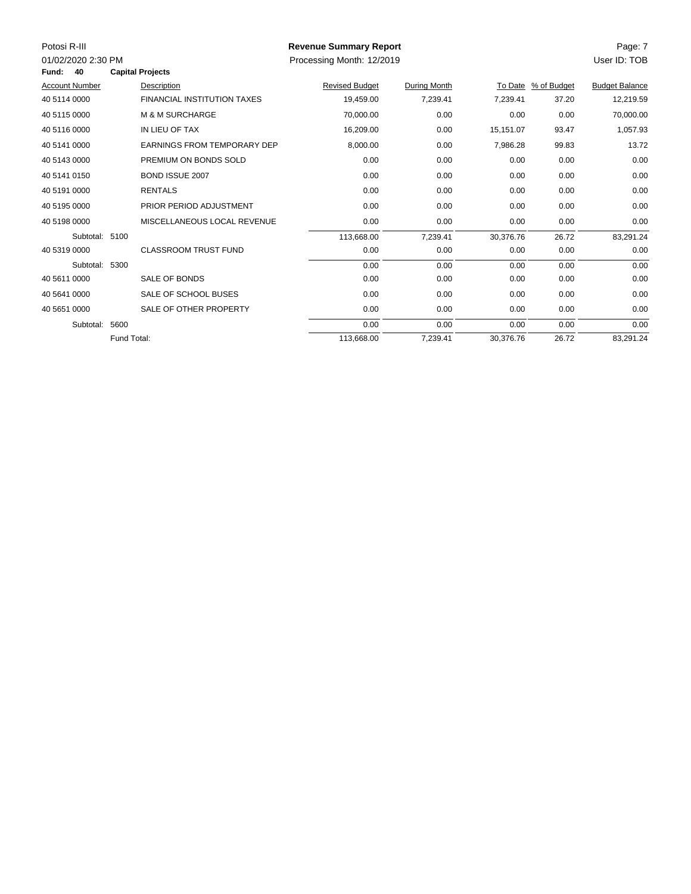| Potosi R-III<br>01/02/2020 2:30 PM<br>40<br>Fund: |             | <b>Capital Projects</b>            | <b>Revenue Summary Report</b><br>Processing Month: 12/2019 |              |           |                     | Page: 7<br>User ID: TOB |
|---------------------------------------------------|-------------|------------------------------------|------------------------------------------------------------|--------------|-----------|---------------------|-------------------------|
| <b>Account Number</b>                             |             | Description                        | <b>Revised Budget</b>                                      | During Month |           | To Date % of Budget | <b>Budget Balance</b>   |
| 40 5114 0000                                      |             | <b>FINANCIAL INSTITUTION TAXES</b> | 19,459.00                                                  | 7,239.41     | 7,239.41  | 37.20               | 12,219.59               |
| 40 5115 0000                                      |             | <b>M &amp; M SURCHARGE</b>         | 70,000.00                                                  | 0.00         | 0.00      | 0.00                | 70,000.00               |
| 40 5116 0000                                      |             | IN LIEU OF TAX                     |                                                            |              |           |                     |                         |
|                                                   |             |                                    | 16,209.00                                                  | 0.00         | 15,151.07 | 93.47               | 1,057.93                |
| 40 5141 0000                                      |             | <b>EARNINGS FROM TEMPORARY DEP</b> | 8,000.00                                                   | 0.00         | 7,986.28  | 99.83               | 13.72                   |
| 40 5143 0000                                      |             | PREMIUM ON BONDS SOLD              | 0.00                                                       | 0.00         | 0.00      | 0.00                | 0.00                    |
| 40 5141 0150                                      |             | BOND ISSUE 2007                    | 0.00                                                       | 0.00         | 0.00      | 0.00                | 0.00                    |
| 40 5191 0000                                      |             | <b>RENTALS</b>                     | 0.00                                                       | 0.00         | 0.00      | 0.00                | 0.00                    |
| 40 5195 0000                                      |             | PRIOR PERIOD ADJUSTMENT            | 0.00                                                       | 0.00         | 0.00      | 0.00                | 0.00                    |
| 40 5198 0000                                      |             | MISCELLANEOUS LOCAL REVENUE        | 0.00                                                       | 0.00         | 0.00      | 0.00                | 0.00                    |
| Subtotal: 5100                                    |             |                                    | 113,668.00                                                 | 7,239.41     | 30,376.76 | 26.72               | 83,291.24               |
| 40 5319 0000                                      |             | <b>CLASSROOM TRUST FUND</b>        | 0.00                                                       | 0.00         | 0.00      | 0.00                | 0.00                    |
| Subtotal: 5300                                    |             |                                    | 0.00                                                       | 0.00         | 0.00      | 0.00                | 0.00                    |
| 40 5611 0000                                      |             | SALE OF BONDS                      | 0.00                                                       | 0.00         | 0.00      | 0.00                | 0.00                    |
| 40 5641 0000                                      |             | SALE OF SCHOOL BUSES               | 0.00                                                       | 0.00         | 0.00      | 0.00                | 0.00                    |
| 40 5651 0000                                      |             | SALE OF OTHER PROPERTY             | 0.00                                                       | 0.00         | 0.00      | 0.00                | 0.00                    |
| Subtotal:                                         | 5600        |                                    | 0.00                                                       | 0.00         | 0.00      | 0.00                | 0.00                    |
|                                                   | Fund Total: |                                    | 113,668.00                                                 | 7,239.41     | 30,376.76 | 26.72               | 83,291.24               |